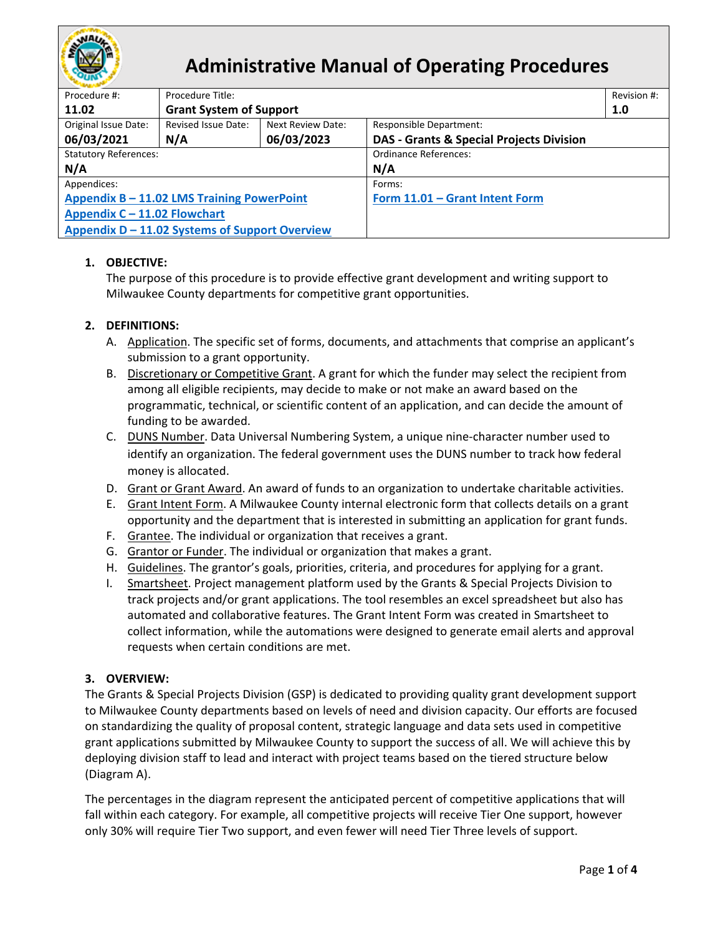

# **Administrative Manual of Operating Procedures**

| Procedure #:                                   | Procedure Title:               |                          |                                                     |     |
|------------------------------------------------|--------------------------------|--------------------------|-----------------------------------------------------|-----|
| 11.02                                          | <b>Grant System of Support</b> |                          |                                                     | 1.0 |
| Original Issue Date:                           | Revised Issue Date:            | <b>Next Review Date:</b> | <b>Responsible Department:</b>                      |     |
| 06/03/2021                                     | N/A                            | 06/03/2023               | <b>DAS - Grants &amp; Special Projects Division</b> |     |
| <b>Statutory References:</b>                   |                                |                          | <b>Ordinance References:</b>                        |     |
| N/A                                            |                                |                          | N/A                                                 |     |
| Appendices:                                    |                                |                          | Forms:                                              |     |
| Appendix B - 11.02 LMS Training PowerPoint     |                                |                          | Form 11.01 - Grant Intent Form                      |     |
| Appendix C - 11.02 Flowchart                   |                                |                          |                                                     |     |
| Appendix D – 11.02 Systems of Support Overview |                                |                          |                                                     |     |
|                                                |                                |                          |                                                     |     |

# **1. OBJECTIVE:**

The purpose of this procedure is to provide effective grant development and writing support to Milwaukee County departments for competitive grant opportunities.

## **2. DEFINITIONS:**

- A. Application. The specific set of forms, documents, and attachments that comprise an applicant's submission to a grant opportunity.
- B. Discretionary or Competitive Grant. A grant for which the funder may select the recipient from among all eligible recipients, may decide to make or not make an award based on the programmatic, technical, or scientific content of an application, and can decide the amount of funding to be awarded.
- C. DUNS Number. Data Universal Numbering System, a unique nine-character number used to identify an organization. The federal government uses the DUNS number to track how federal money is allocated.
- D. Grant or Grant Award. An award of funds to an organization to undertake charitable activities.
- E. Grant Intent Form. A Milwaukee County internal electronic form that collects details on a grant opportunity and the department that is interested in submitting an application for grant funds.
- F. Grantee. The individual or organization that receives a grant.
- G. Grantor or Funder. The individual or organization that makes a grant.
- H. Guidelines. The grantor's goals, priorities, criteria, and procedures for applying for a grant.
- I. Smartsheet. Project management platform used by the Grants & Special Projects Division to track projects and/or grant applications. The tool resembles an excel spreadsheet but also has automated and collaborative features. The Grant Intent Form was created in Smartsheet to collect information, while the automations were designed to generate email alerts and approval requests when certain conditions are met.

### **3. OVERVIEW:**

The Grants & Special Projects Division (GSP) is dedicated to providing quality grant development support to Milwaukee County departments based on levels of need and division capacity. Our efforts are focused on standardizing the quality of proposal content, strategic language and data sets used in competitive grant applications submitted by Milwaukee County to support the success of all. We will achieve this by deploying division staff to lead and interact with project teams based on the tiered structure below (Diagram A).

The percentages in the diagram represent the anticipated percent of competitive applications that will fall within each category. For example, all competitive projects will receive Tier One support, however only 30% will require Tier Two support, and even fewer will need Tier Three levels of support.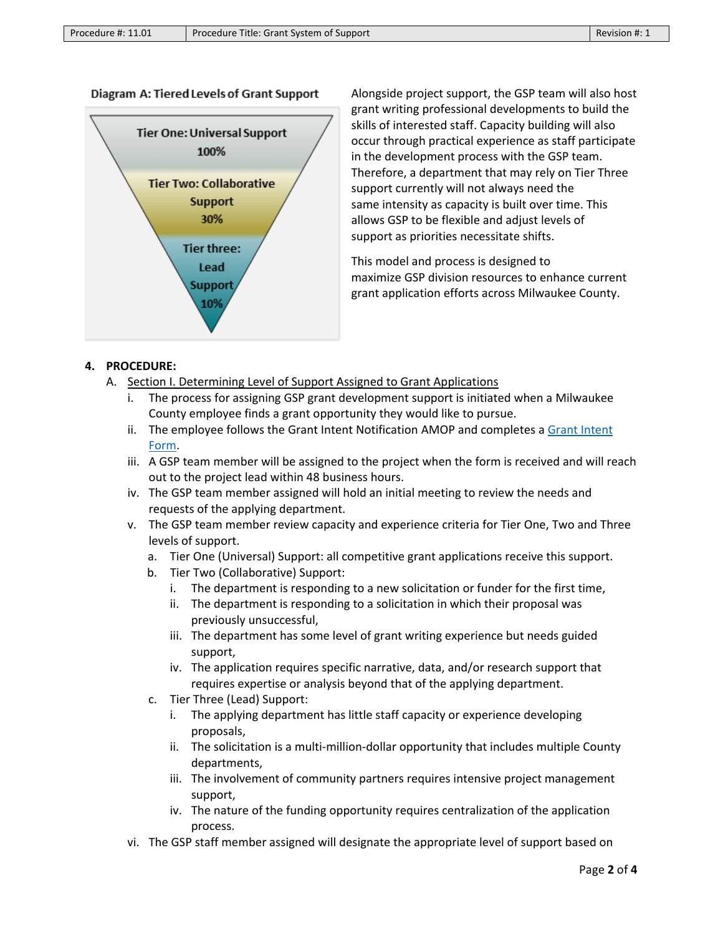### Diagram A: Tiered Levels of Grant Support



Alongside project support, the GSP team will also host grant writing professional developments to build the skills of interested staff. Capacity building will also occur through practical experience as staff participate in the development process with the GSP team. Therefore, a department that may rely on Tier Three support currently will not always need the same intensity as capacity is built over time. This allows GSP to be flexible and adjust levels of support as priorities necessitate shifts.

This model and process is designed to maximize GSP division resources to enhance current grant application efforts across Milwaukee County.

### **4. PROCEDURE:**

- A. Section I. Determining Level of Support Assigned to Grant Applications
	- i. The process for assigning GSP grant development support is initiated when a Milwaukee County employee finds a grant opportunity they would like to pursue.
	- ii. The employee follows the Grant Intent Notification AMOP and completes a [Grant Intent](https://app.smartsheet.com/b/form/bebc63351ec240a0a5c5cea5efe4fb31)  [Form.](https://app.smartsheet.com/b/form/bebc63351ec240a0a5c5cea5efe4fb31)
	- iii. A GSP team member will be assigned to the project when the form is received and will reach out to the project lead within 48 business hours.
	- iv. The GSP team member assigned will hold an initial meeting to review the needs and requests of the applying department.
	- v. The GSP team member review capacity and experience criteria for Tier One, Two and Three levels of support.
		- a. Tier One (Universal) Support: all competitive grant applications receive this support.
		- b. Tier Two (Collaborative) Support:
			- i. The department is responding to a new solicitation or funder for the first time,
			- ii. The department is responding to a solicitation in which their proposal was previously unsuccessful,
			- iii. The department has some level of grant writing experience but needs guided support,
			- iv. The application requires specific narrative, data, and/or research support that requires expertise or analysis beyond that of the applying department.
		- c. Tier Three (Lead) Support:
			- i. The applying department has little staff capacity or experience developing proposals,
			- ii. The solicitation is a multi-million-dollar opportunity that includes multiple County departments,
			- iii. The involvement of community partners requires intensive project management support,
			- iv. The nature of the funding opportunity requires centralization of the application process.
	- vi. The GSP staff member assigned will designate the appropriate level of support based on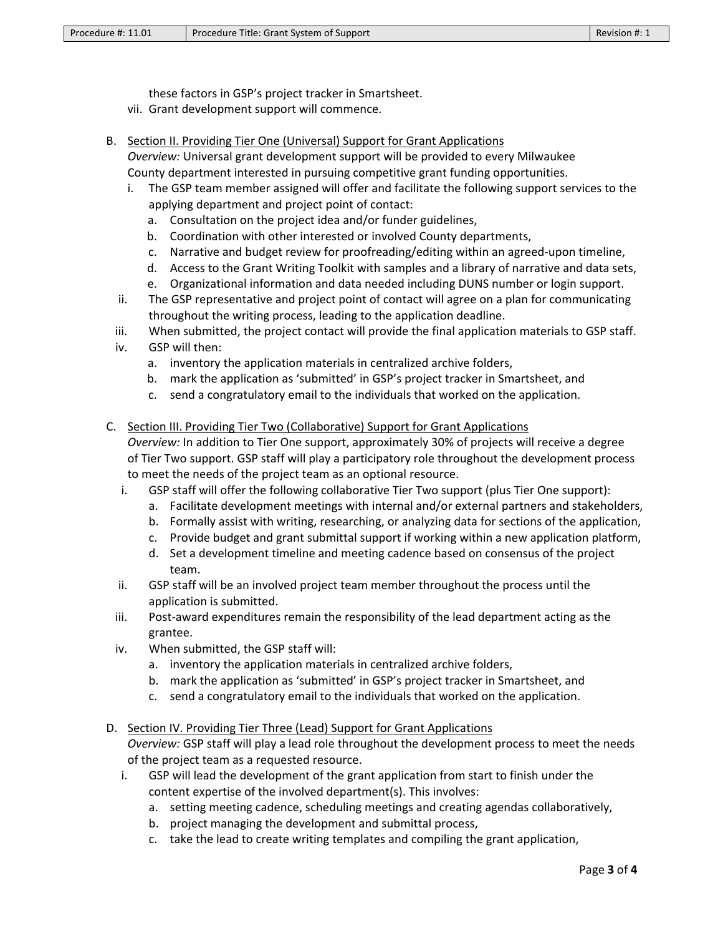these factors in GSP's project tracker in Smartsheet.

- vii. Grant development support will commence.
- B. Section II. Providing Tier One (Universal) Support for Grant Applications
	- *Overview:* Universal grant development support will be provided to every Milwaukee County department interested in pursuing competitive grant funding opportunities.
		- i. The GSP team member assigned will offer and facilitate the following support services to the applying department and project point of contact:
			- a. Consultation on the project idea and/or funder guidelines,
			- b. Coordination with other interested or involved County departments,
			- c. Narrative and budget review for proofreading/editing within an agreed-upon timeline,
			- d. Access to the Grant Writing Toolkit with samples and a library of narrative and data sets,
			- e. Organizational information and data needed including DUNS number or login support.
	- ii. The GSP representative and project point of contact will agree on a plan for communicating throughout the writing process, leading to the application deadline.
	- iii. When submitted, the project contact will provide the final application materials to GSP staff.
	- iv. GSP will then:
		- a. inventory the application materials in centralized archive folders,
		- b. mark the application as 'submitted' in GSP's project tracker in Smartsheet, and
		- c. send a congratulatory email to the individuals that worked on the application.
- C. Section III. Providing Tier Two (Collaborative) Support for Grant Applications *Overview:* In addition to Tier One support, approximately 30% of projects will receive a degree of Tier Two support. GSP staff will play a participatory role throughout the development process to meet the needs of the project team as an optional resource.
	- i. GSP staff will offer the following collaborative Tier Two support (plus Tier One support):
		- a. Facilitate development meetings with internal and/or external partners and stakeholders,
		- b. Formally assist with writing, researching, or analyzing data for sections of the application,
		- c. Provide budget and grant submittal support if working within a new application platform,
		- d. Set a development timeline and meeting cadence based on consensus of the project team.
	- ii. GSP staff will be an involved project team member throughout the process until the application is submitted.
	- iii. Post-award expenditures remain the responsibility of the lead department acting as the grantee.
	- iv. When submitted, the GSP staff will:
		- a. inventory the application materials in centralized archive folders,
		- b. mark the application as 'submitted' in GSP's project tracker in Smartsheet, and
		- c. send a congratulatory email to the individuals that worked on the application.

### D. Section IV. Providing Tier Three (Lead) Support for Grant Applications

*Overview:* GSP staff will play a lead role throughout the development process to meet the needs of the project team as a requested resource.

- i. GSP will lead the development of the grant application from start to finish under the content expertise of the involved department(s). This involves:
	- a. setting meeting cadence, scheduling meetings and creating agendas collaboratively,
	- b. project managing the development and submittal process,
	- c. take the lead to create writing templates and compiling the grant application,